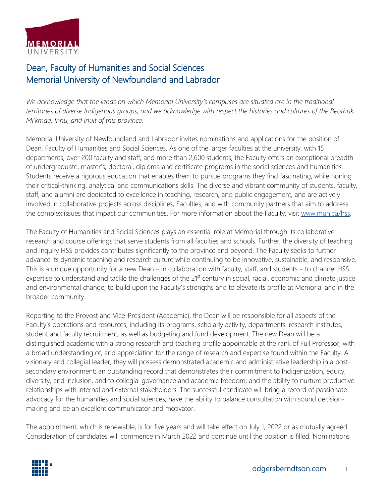

## Dean, Faculty of Humanities and Social Sciences Memorial University of Newfoundland and Labrador

*We acknowledge that the lands on which Memorial University's campuses are situated are in the traditional territories of diverse Indigenous groups, and we acknowledge with respect the histories and cultures of the Beothuk, Mi'kmaq, Innu, and Inuit of this province.*

Memorial University of Newfoundland and Labrador invites nominations and applications for the position of Dean, Faculty of Humanities and Social Sciences. As one of the larger faculties at the university, with 15 departments, over 200 faculty and staff, and more than 2,600 students, the Faculty offers an exceptional breadth of undergraduate, master's, doctoral, diploma and certificate programs in the social sciences and humanities. Students receive a rigorous education that enables them to pursue programs they find fascinating, while honing their critical-thinking, analytical and communications skills. The diverse and vibrant community of students, faculty, staff, and alumni are dedicated to excellence in teaching, research, and public engagement, and are actively involved in collaborative projects across disciplines, Faculties, and with community partners that aim to address the complex issues that impact our communities. For more information about the Faculty, visit [www.mun.ca/hss.](http://www.mun.ca/hss/)

The Faculty of Humanities and Social Sciences plays an essential role at Memorial through its collaborative research and course offerings that serve students from all faculties and schools. Further, the diversity of teaching and inquiry HSS provides contributes significantly to the province and beyond. The Faculty seeks to further advance its dynamic teaching and research culture while continuing to be innovative, sustainable, and responsive. This is a unique opportunity for a new Dean – in collaboration with faculty, staff, and students – to channel HSS expertise to understand and tackle the challenges of the 21<sup>st</sup> century in social, racial, economic and climate justice and environmental change; to build upon the Faculty's strengths and to elevate its profile at Memorial and in the broader community.

Reporting to the Provost and Vice-President (Academic), the Dean will be responsible for all aspects of the Faculty's operations and resources, including its programs, scholarly activity, departments, research institutes, student and faculty recruitment, as well as budgeting and fund development. The new Dean will be a distinguished academic with a strong research and teaching profile appointable at the rank of Full Professor, with a broad understanding of, and appreciation for the range of research and expertise found within the Faculty. A visionary and collegial leader, they will possess demonstrated academic and administrative leadership in a postsecondary environment; an outstanding record that demonstrates their commitment to Indigenization, equity, diversity, and inclusion, and to collegial governance and academic freedom; and the ability to nurture productive relationships with internal and external stakeholders. The successful candidate will bring a record of passionate advocacy for the humanities and social sciences, have the ability to balance consultation with sound decisionmaking and be an excellent communicator and motivator.

The appointment, which is renewable, is for five years and will take effect on July 1, 2022 or as mutually agreed. Consideration of candidates will commence in March 2022 and continue until the position is filled. Nominations